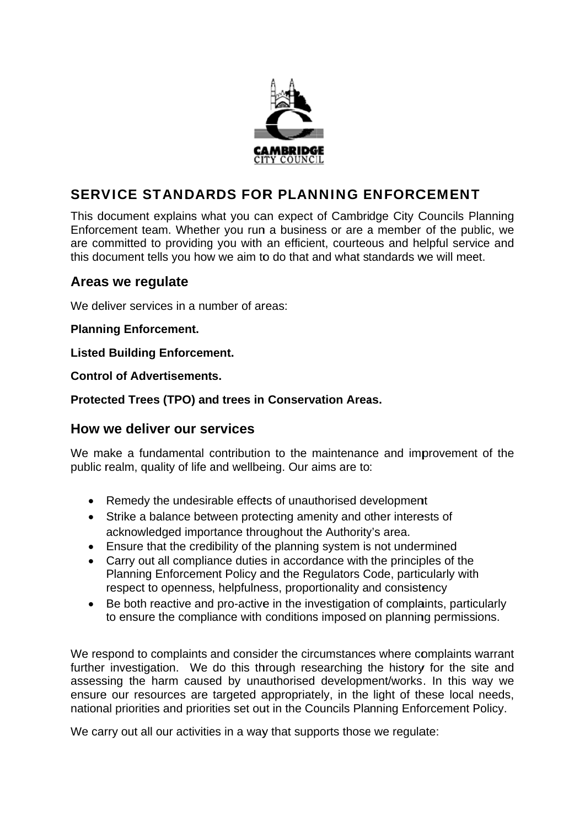

# **SERVICE STANDARDS FOR PLANNING ENFORCEMENT**

This document explains what you can expect of Cambridge City Councils Planning Enforcement team. Whether you run a business or are a member of the public, we are committed to providing you with an efficient, courteous and helpful service and this document tells you how we aim to do that and what standards we will meet.

## Areas we regulate

We deliver services in a number of areas:

**Planning Enforcement.** 

**Listed Building Enforcement.** 

**Control of Advertisements.** 

Protected Trees (TPO) and trees in Conservation Areas.

## How we deliver our services

We make a fundamental contribution to the maintenance and improvement of the public realm, quality of life and wellbeing. Our aims are to:

- Remedy the undesirable effects of unauthorised development
- Strike a balance between protecting amenity and other interests of acknowledged importance throughout the Authority's area.
- Ensure that the credibility of the planning system is not undermined
- Carry out all compliance duties in accordance with the principles of the Planning Enforcement Policy and the Regulators Code, particularly with respect to openness, helpfulness, proportionality and consistency
- $\bullet$ Be both reactive and pro-active in the investigation of complaints, particularly to ensure the compliance with conditions imposed on planning permissions.

We respond to complaints and consider the circumstances where complaints warrant further investigation. We do this through researching the history for the site and assessing the harm caused by unauthorised development/works. In this way we ensure our resources are targeted appropriately, in the light of these local needs, national priorities and priorities set out in the Councils Planning Enforcement Policy.

We carry out all our activities in a way that supports those we regulate: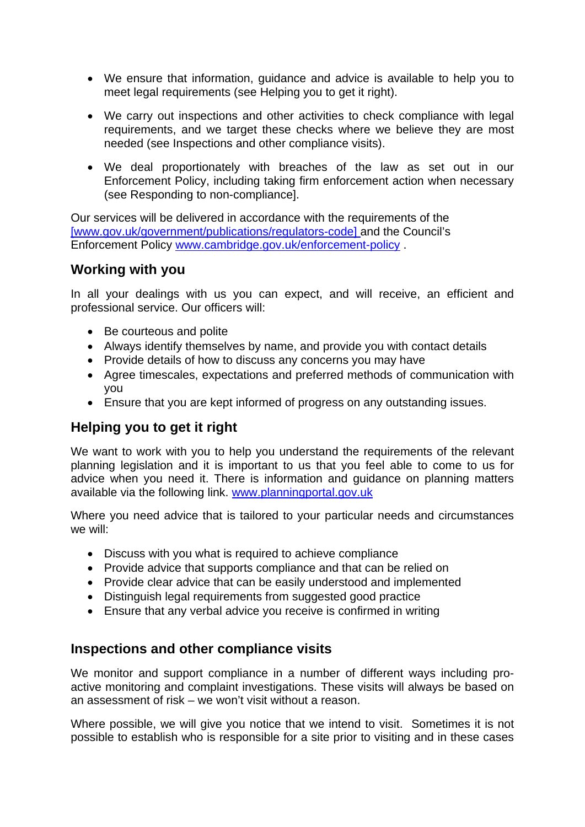- We ensure that information, guidance and advice is available to help you to meet legal requirements (see Helping you to get it right).
- We carry out inspections and other activities to check compliance with legal requirements, and we target these checks where we believe they are most needed (see Inspections and other compliance visits).
- We deal proportionately with breaches of the law as set out in our Enforcement Policy, including taking firm enforcement action when necessary (see Responding to non-compliance].

Our services will be delivered in accordance with the requirements of the [www.gov.uk/government/publications/regulators-code] and the Council's Enforcement Policy www.cambridge.gov.uk/enforcement-policy .

## **Working with you**

In all your dealings with us you can expect, and will receive, an efficient and professional service. Our officers will:

- Be courteous and polite
- Always identify themselves by name, and provide you with contact details
- Provide details of how to discuss any concerns you may have
- Agree timescales, expectations and preferred methods of communication with you
- Ensure that you are kept informed of progress on any outstanding issues.

## **Helping you to get it right**

We want to work with you to help you understand the requirements of the relevant planning legislation and it is important to us that you feel able to come to us for advice when you need it. There is information and guidance on planning matters available via the following link. www.planningportal.gov.uk

Where you need advice that is tailored to your particular needs and circumstances we will:

- Discuss with you what is required to achieve compliance
- Provide advice that supports compliance and that can be relied on
- Provide clear advice that can be easily understood and implemented
- Distinguish legal requirements from suggested good practice
- Ensure that any verbal advice you receive is confirmed in writing

## **Inspections and other compliance visits**

We monitor and support compliance in a number of different ways including proactive monitoring and complaint investigations. These visits will always be based on an assessment of risk – we won't visit without a reason.

Where possible, we will give you notice that we intend to visit. Sometimes it is not possible to establish who is responsible for a site prior to visiting and in these cases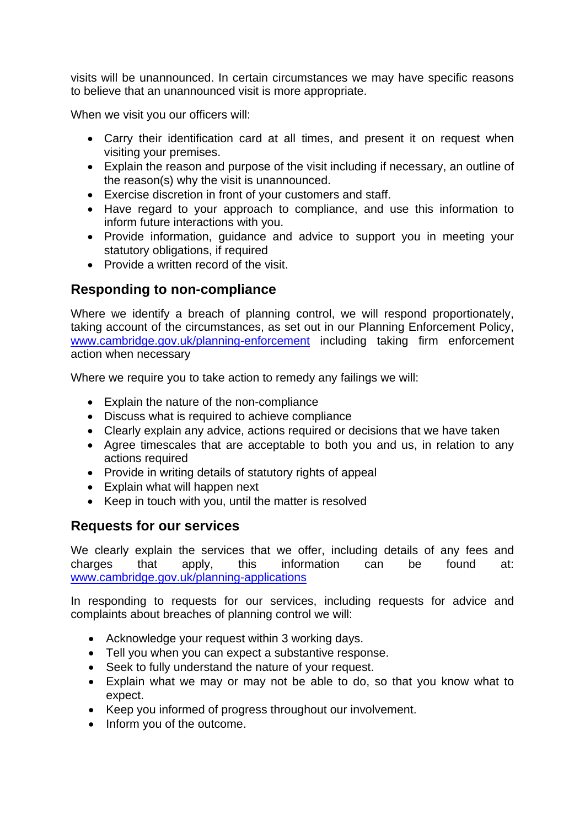visits will be unannounced. In certain circumstances we may have specific reasons to believe that an unannounced visit is more appropriate.

When we visit you our officers will:

- Carry their identification card at all times, and present it on request when visiting your premises.
- Explain the reason and purpose of the visit including if necessary, an outline of the reason(s) why the visit is unannounced.
- Exercise discretion in front of your customers and staff.
- Have regard to your approach to compliance, and use this information to inform future interactions with you.
- Provide information, guidance and advice to support you in meeting your statutory obligations, if required
- Provide a written record of the visit.

## **Responding to non-compliance**

Where we identify a breach of planning control, we will respond proportionately, taking account of the circumstances, as set out in our Planning Enforcement Policy, www.cambridge.gov.uk/planning-enforcement including taking firm enforcement action when necessary

Where we require you to take action to remedy any failings we will:

- Explain the nature of the non-compliance
- Discuss what is required to achieve compliance
- Clearly explain any advice, actions required or decisions that we have taken
- Agree timescales that are acceptable to both you and us, in relation to any actions required
- Provide in writing details of statutory rights of appeal
- Explain what will happen next
- Keep in touch with you, until the matter is resolved

## **Requests for our services**

We clearly explain the services that we offer, including details of any fees and charges that apply, this information can be found at: www.cambridge.gov.uk/planning-applications

In responding to requests for our services, including requests for advice and complaints about breaches of planning control we will:

- Acknowledge your request within 3 working days.
- Tell you when you can expect a substantive response.
- Seek to fully understand the nature of your request.
- Explain what we may or may not be able to do, so that you know what to expect.
- Keep you informed of progress throughout our involvement.
- Inform you of the outcome.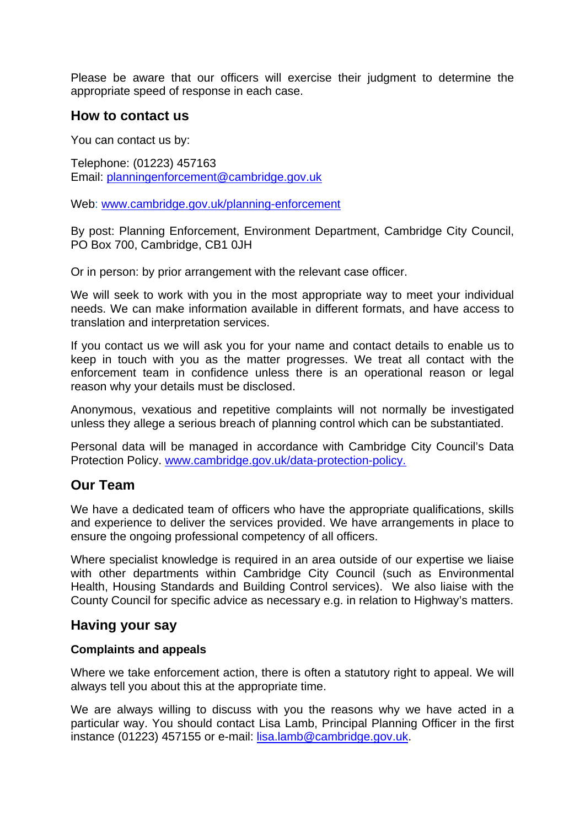Please be aware that our officers will exercise their judgment to determine the appropriate speed of response in each case.

### **How to contact us**

You can contact us by:

Telephone: (01223) 457163 Email: planningenforcement@cambridge.gov.uk

Web: www.cambridge.gov.uk/planning-enforcement

By post: Planning Enforcement, Environment Department, Cambridge City Council, PO Box 700, Cambridge, CB1 0JH

Or in person: by prior arrangement with the relevant case officer.

We will seek to work with you in the most appropriate way to meet your individual needs. We can make information available in different formats, and have access to translation and interpretation services.

If you contact us we will ask you for your name and contact details to enable us to keep in touch with you as the matter progresses. We treat all contact with the enforcement team in confidence unless there is an operational reason or legal reason why your details must be disclosed.

Anonymous, vexatious and repetitive complaints will not normally be investigated unless they allege a serious breach of planning control which can be substantiated.

Personal data will be managed in accordance with Cambridge City Council's Data Protection Policy. www.cambridge.gov.uk/data-protection-policy.

## **Our Team**

We have a dedicated team of officers who have the appropriate qualifications, skills and experience to deliver the services provided. We have arrangements in place to ensure the ongoing professional competency of all officers.

Where specialist knowledge is required in an area outside of our expertise we liaise with other departments within Cambridge City Council (such as Environmental Health, Housing Standards and Building Control services). We also liaise with the County Council for specific advice as necessary e.g. in relation to Highway's matters.

### **Having your say**

#### **Complaints and appeals**

Where we take enforcement action, there is often a statutory right to appeal. We will always tell you about this at the appropriate time.

We are always willing to discuss with you the reasons why we have acted in a particular way. You should contact Lisa Lamb, Principal Planning Officer in the first instance (01223) 457155 or e-mail: lisa.lamb@cambridge.gov.uk.